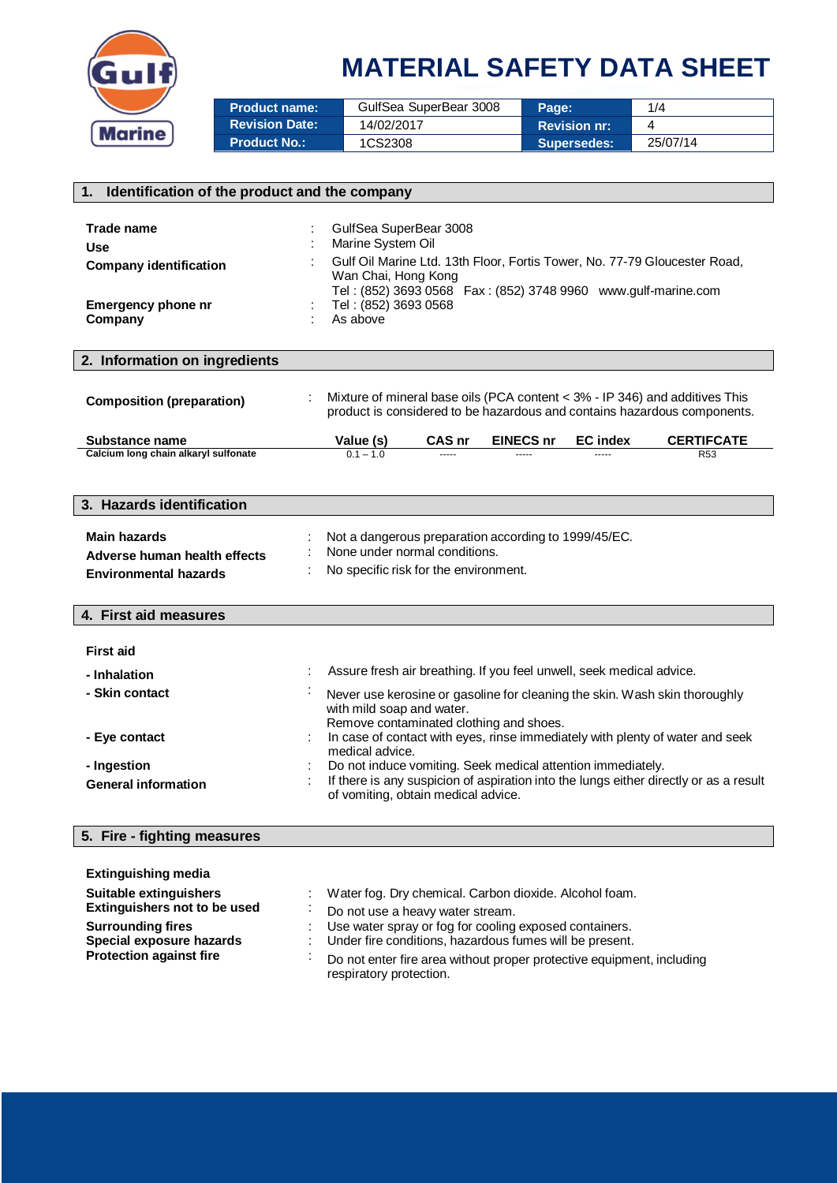

| <b>Product name:</b>  | GulfSea SuperBear 3008 | Page:               | 1/4      |
|-----------------------|------------------------|---------------------|----------|
| <b>Revision Date:</b> | 14/02/2017             | <b>Revision nr:</b> |          |
| <b>Product No.:</b>   | 1CS2308                | Supersedes:         | 25/07/14 |

| 1. Identification of the product and the company                                                                                                                                      |                                                                                                                                                                                                                                                                                          |  |  |  |
|---------------------------------------------------------------------------------------------------------------------------------------------------------------------------------------|------------------------------------------------------------------------------------------------------------------------------------------------------------------------------------------------------------------------------------------------------------------------------------------|--|--|--|
| Trade name<br><b>Use</b><br><b>Company identification</b><br><b>Emergency phone nr</b><br>Company                                                                                     | GulfSea SuperBear 3008<br>Marine System Oil<br>Gulf Oil Marine Ltd. 13th Floor, Fortis Tower, No. 77-79 Gloucester Road,<br>Wan Chai, Hong Kong<br>Tel: (852) 3693 0568  Fax: (852) 3748 9960  www.gulf-marine.com<br>Tel: (852) 3693 0568<br>As above                                   |  |  |  |
| 2. Information on ingredients                                                                                                                                                         |                                                                                                                                                                                                                                                                                          |  |  |  |
| <b>Composition (preparation)</b>                                                                                                                                                      | Mixture of mineral base oils (PCA content < 3% - IP 346) and additives This<br>product is considered to be hazardous and contains hazardous components.                                                                                                                                  |  |  |  |
| Substance name                                                                                                                                                                        | <b>CERTIFCATE</b><br>CAS nr<br><b>EINECS nr</b><br><b>EC</b> index<br>Value (s)                                                                                                                                                                                                          |  |  |  |
| Calcium long chain alkaryl sulfonate                                                                                                                                                  | $0.1 - 1.0$<br>R <sub>53</sub>                                                                                                                                                                                                                                                           |  |  |  |
| 3. Hazards identification                                                                                                                                                             |                                                                                                                                                                                                                                                                                          |  |  |  |
| <b>Main hazards</b><br>Adverse human health effects<br><b>Environmental hazards</b>                                                                                                   | Not a dangerous preparation according to 1999/45/EC.<br>None under normal conditions.<br>No specific risk for the environment.                                                                                                                                                           |  |  |  |
| 4. First aid measures                                                                                                                                                                 |                                                                                                                                                                                                                                                                                          |  |  |  |
| <b>First aid</b><br>- Inhalation                                                                                                                                                      | Assure fresh air breathing. If you feel unwell, seek medical advice.                                                                                                                                                                                                                     |  |  |  |
| - Skin contact                                                                                                                                                                        | Never use kerosine or gasoline for cleaning the skin. Wash skin thoroughly<br>with mild soap and water.<br>Remove contaminated clothing and shoes.                                                                                                                                       |  |  |  |
| - Eye contact                                                                                                                                                                         | In case of contact with eyes, rinse immediately with plenty of water and seek<br>medical advice.                                                                                                                                                                                         |  |  |  |
| - Ingestion<br><b>General information</b>                                                                                                                                             | Do not induce vomiting. Seek medical attention immediately.<br>If there is any suspicion of aspiration into the lungs either directly or as a result<br>of vomiting, obtain medical advice.                                                                                              |  |  |  |
| 5. Fire - fighting measures                                                                                                                                                           |                                                                                                                                                                                                                                                                                          |  |  |  |
| <b>Extinguishing media</b><br><b>Suitable extinguishers</b><br>Extinguishers not to be used<br><b>Surrounding fires</b><br>Special exposure hazards<br><b>Protection against fire</b> | Water fog. Dry chemical. Carbon dioxide. Alcohol foam.<br>Do not use a heavy water stream.<br>Use water spray or fog for cooling exposed containers.<br>Under fire conditions, hazardous fumes will be present.<br>Do not enter fire area without proper protective equipment, including |  |  |  |
|                                                                                                                                                                                       | respiratory protection.                                                                                                                                                                                                                                                                  |  |  |  |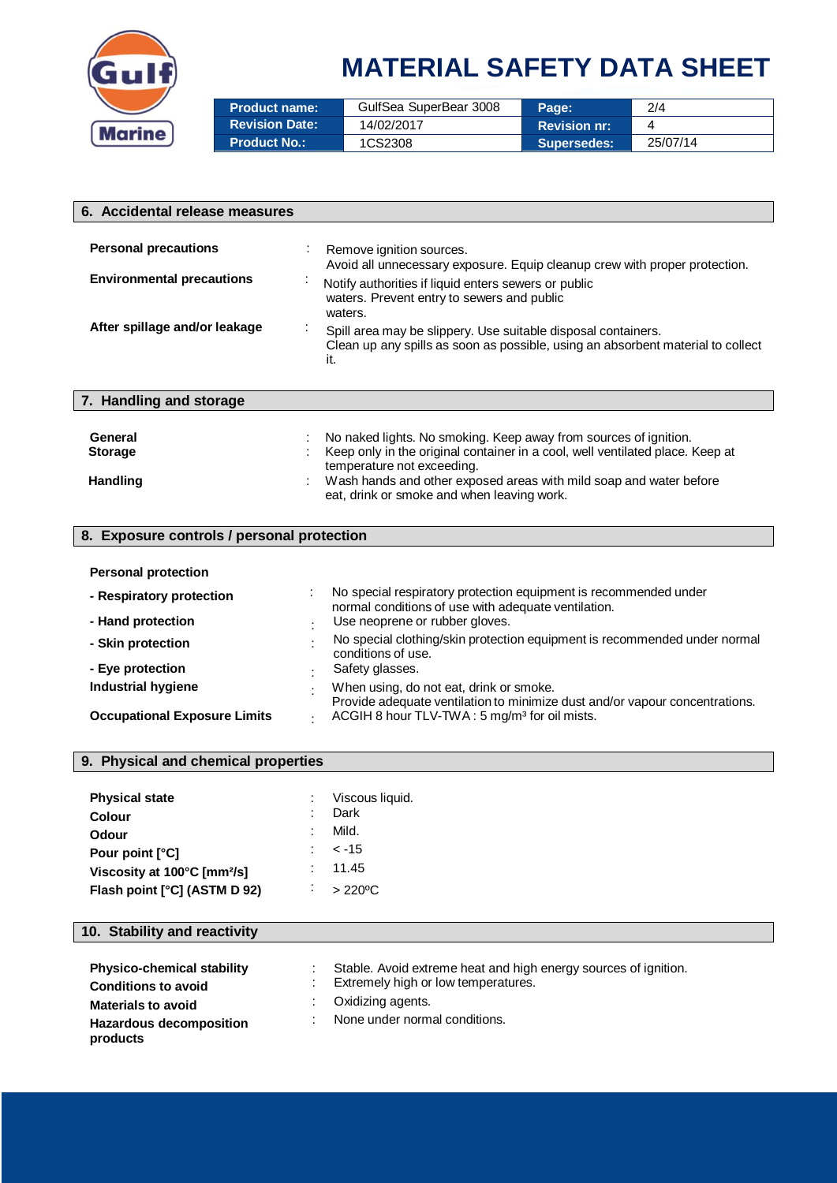

| <b>Product name:</b>  | GulfSea SuperBear 3008 | Page:               | 2/4      |
|-----------------------|------------------------|---------------------|----------|
| <b>Revision Date:</b> | 14/02/2017             | <b>Revision nr:</b> |          |
| <b>Product No.:</b>   | 1CS2308                | <b>Supersedes:</b>  | 25/07/14 |

| 6. Accidental release measures             |  |                                                                                                                                                         |  |  |  |
|--------------------------------------------|--|---------------------------------------------------------------------------------------------------------------------------------------------------------|--|--|--|
|                                            |  |                                                                                                                                                         |  |  |  |
| <b>Personal precautions</b>                |  | Remove ignition sources.<br>Avoid all unnecessary exposure. Equip cleanup crew with proper protection.                                                  |  |  |  |
| <b>Environmental precautions</b>           |  | Notify authorities if liquid enters sewers or public<br>waters. Prevent entry to sewers and public<br>waters.                                           |  |  |  |
| After spillage and/or leakage              |  | Spill area may be slippery. Use suitable disposal containers.<br>Clean up any spills as soon as possible, using an absorbent material to collect<br>it. |  |  |  |
| 7. Handling and storage                    |  |                                                                                                                                                         |  |  |  |
|                                            |  |                                                                                                                                                         |  |  |  |
| General                                    |  | No naked lights. No smoking. Keep away from sources of ignition.                                                                                        |  |  |  |
| <b>Storage</b>                             |  | Keep only in the original container in a cool, well ventilated place. Keep at                                                                           |  |  |  |
|                                            |  | temperature not exceeding.                                                                                                                              |  |  |  |
| <b>Handling</b>                            |  | Wash hands and other exposed areas with mild soap and water before<br>eat, drink or smoke and when leaving work.                                        |  |  |  |
|                                            |  |                                                                                                                                                         |  |  |  |
| 8. Exposure controls / personal protection |  |                                                                                                                                                         |  |  |  |
|                                            |  |                                                                                                                                                         |  |  |  |
| <b>Personal protection</b>                 |  |                                                                                                                                                         |  |  |  |
| - Respiratory protection                   |  | No special respiratory protection equipment is recommended under<br>normal conditions of use with adequate ventilation.                                 |  |  |  |
| - Hand protection                          |  | Use neoprene or rubber gloves.                                                                                                                          |  |  |  |
| - Skin protection                          |  | No special clothing/skin protection equipment is recommended under normal<br>conditions of use.                                                         |  |  |  |

| - Eye protection                    | Safety glasses.                                                             |
|-------------------------------------|-----------------------------------------------------------------------------|
| Industrial hygiene                  | When using, do not eat, drink or smoke.                                     |
|                                     | Provide adequate ventilation to minimize dust and/or vapour concentrations. |
| <b>Occupational Exposure Limits</b> | ACGIH 8 hour TLV-TWA: 5 mg/m <sup>3</sup> for oil mists.                    |

| 9. Physical and chemical properties     |              |                         |  |  |
|-----------------------------------------|--------------|-------------------------|--|--|
| <b>Physical state</b><br><b>Colour</b>  | ٠.           | Viscous liquid.<br>Dark |  |  |
| Odour                                   | ٠<br>$\sim$  | Mild.                   |  |  |
| Pour point [°C]                         |              | $< -15$                 |  |  |
| Viscosity at 100°C [mm <sup>2</sup> /s] | ÷            | 11.45                   |  |  |
| Flash point [°C] (ASTM D 92)            | $\mathbf{r}$ | $>220^{\circ}$ C        |  |  |

#### **10. Stability and reactivity**

| <b>Physico-chemical stability</b><br><b>Conditions to avoid</b> | Stable. Avoid extreme heat and high energy sources of ignition.<br>Extremely high or low temperatures. |
|-----------------------------------------------------------------|--------------------------------------------------------------------------------------------------------|
| <b>Materials to avoid</b>                                       | Oxidizing agents.                                                                                      |
| Hazardous decomposition<br>products                             | None under normal conditions.                                                                          |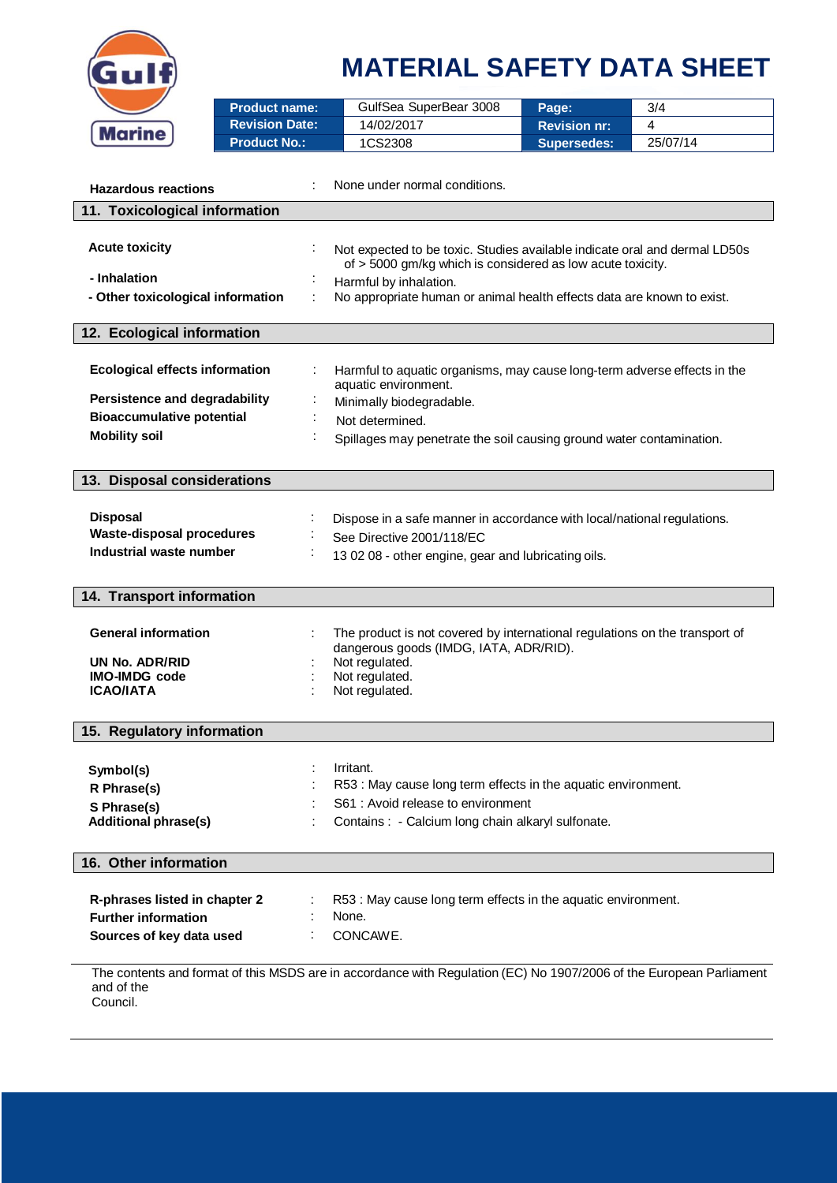

|                                       | <b>Product name:</b>  | GulfSea SuperBear 3008                                                                                                                   | Page:               | 3/4      |  |  |  |
|---------------------------------------|-----------------------|------------------------------------------------------------------------------------------------------------------------------------------|---------------------|----------|--|--|--|
| <b>Marine</b>                         | <b>Revision Date:</b> | 14/02/2017                                                                                                                               | <b>Revision nr:</b> | 4        |  |  |  |
|                                       | <b>Product No.:</b>   | 1CS2308                                                                                                                                  | Supersedes:         | 25/07/14 |  |  |  |
|                                       |                       |                                                                                                                                          |                     |          |  |  |  |
| <b>Hazardous reactions</b>            |                       | None under normal conditions.                                                                                                            |                     |          |  |  |  |
|                                       |                       |                                                                                                                                          |                     |          |  |  |  |
| 11. Toxicological information         |                       |                                                                                                                                          |                     |          |  |  |  |
| <b>Acute toxicity</b>                 |                       |                                                                                                                                          |                     |          |  |  |  |
|                                       |                       | Not expected to be toxic. Studies available indicate oral and dermal LD50s<br>of > 5000 gm/kg which is considered as low acute toxicity. |                     |          |  |  |  |
| - Inhalation                          |                       | Harmful by inhalation.                                                                                                                   |                     |          |  |  |  |
| - Other toxicological information     | ÷                     | No appropriate human or animal health effects data are known to exist.                                                                   |                     |          |  |  |  |
|                                       |                       |                                                                                                                                          |                     |          |  |  |  |
| 12. Ecological information            |                       |                                                                                                                                          |                     |          |  |  |  |
|                                       |                       |                                                                                                                                          |                     |          |  |  |  |
| <b>Ecological effects information</b> |                       | Harmful to aquatic organisms, may cause long-term adverse effects in the                                                                 |                     |          |  |  |  |
| Persistence and degradability         |                       | aquatic environment.                                                                                                                     |                     |          |  |  |  |
| <b>Bioaccumulative potential</b>      |                       | Minimally biodegradable.                                                                                                                 |                     |          |  |  |  |
| <b>Mobility soil</b>                  |                       | Not determined.                                                                                                                          |                     |          |  |  |  |
|                                       |                       | Spillages may penetrate the soil causing ground water contamination.                                                                     |                     |          |  |  |  |
|                                       |                       |                                                                                                                                          |                     |          |  |  |  |
| 13. Disposal considerations           |                       |                                                                                                                                          |                     |          |  |  |  |
|                                       |                       |                                                                                                                                          |                     |          |  |  |  |
| <b>Disposal</b>                       |                       | Dispose in a safe manner in accordance with local/national regulations.                                                                  |                     |          |  |  |  |
| <b>Waste-disposal procedures</b>      |                       | See Directive 2001/118/EC                                                                                                                |                     |          |  |  |  |
| Industrial waste number               |                       | 13 02 08 - other engine, gear and lubricating oils.                                                                                      |                     |          |  |  |  |
|                                       |                       |                                                                                                                                          |                     |          |  |  |  |
| 14. Transport information             |                       |                                                                                                                                          |                     |          |  |  |  |
|                                       |                       |                                                                                                                                          |                     |          |  |  |  |
| <b>General information</b>            |                       | The product is not covered by international regulations on the transport of                                                              |                     |          |  |  |  |
| UN No. ADR/RID                        |                       | dangerous goods (IMDG, IATA, ADR/RID).<br>Not regulated.                                                                                 |                     |          |  |  |  |
| <b>IMO-IMDG</b> code                  |                       | Not regulated.                                                                                                                           |                     |          |  |  |  |
| <b>ICAO/IATA</b>                      |                       | Not regulated.                                                                                                                           |                     |          |  |  |  |
|                                       |                       |                                                                                                                                          |                     |          |  |  |  |
| 15. Regulatory information            |                       |                                                                                                                                          |                     |          |  |  |  |
|                                       |                       |                                                                                                                                          |                     |          |  |  |  |
| Symbol(s)                             |                       | Irritant.                                                                                                                                |                     |          |  |  |  |
| R Phrase(s)                           |                       | R53 : May cause long term effects in the aquatic environment.                                                                            |                     |          |  |  |  |
| S Phrase(s)                           |                       | S61 : Avoid release to environment                                                                                                       |                     |          |  |  |  |
| <b>Additional phrase(s)</b>           |                       | Contains : - Calcium long chain alkaryl sulfonate.                                                                                       |                     |          |  |  |  |
|                                       |                       |                                                                                                                                          |                     |          |  |  |  |
| 16. Other information                 |                       |                                                                                                                                          |                     |          |  |  |  |
|                                       |                       |                                                                                                                                          |                     |          |  |  |  |
| R-phrases listed in chapter 2         |                       | R53 : May cause long term effects in the aquatic environment.                                                                            |                     |          |  |  |  |
| <b>Further information</b>            |                       | None.                                                                                                                                    |                     |          |  |  |  |
| Sources of key data used              |                       | CONCAWE.                                                                                                                                 |                     |          |  |  |  |
|                                       |                       |                                                                                                                                          |                     |          |  |  |  |
| and of the                            |                       | The contents and format of this MSDS are in accordance with Regulation (EC) No 1907/2006 of the European Parliament                      |                     |          |  |  |  |

Council.